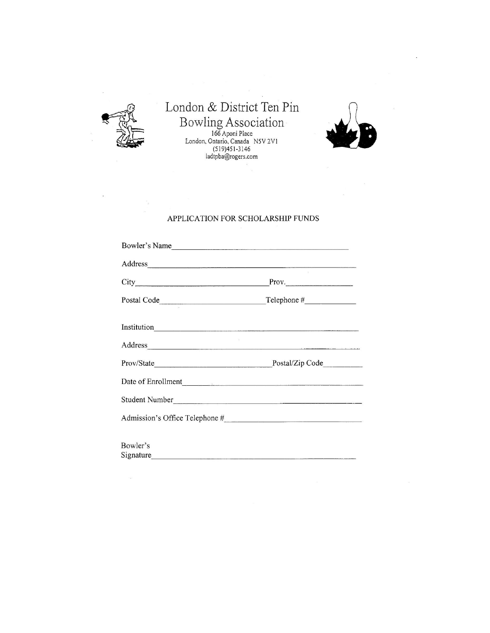

## London & District Ten Pin Bowling Association<br>166 Aponi Place<br>London, Ontario, Canada NSV 2V1<br>(519)451-3146<br>ladtpba@rogers.com



## APPLICATION FOR SCHOLARSHIP FUNDS

| Bowler's Name                                                                                                                                                                                                                  |       |  |
|--------------------------------------------------------------------------------------------------------------------------------------------------------------------------------------------------------------------------------|-------|--|
| Address                                                                                                                                                                                                                        |       |  |
|                                                                                                                                                                                                                                | Prov. |  |
| Postal Code Telephone #                                                                                                                                                                                                        |       |  |
|                                                                                                                                                                                                                                |       |  |
| Address and the contract of the contract of the contract of the contract of the contract of the contract of the contract of the contract of the contract of the contract of the contract of the contract of the contract of th |       |  |
|                                                                                                                                                                                                                                |       |  |
|                                                                                                                                                                                                                                |       |  |
| Student Number                                                                                                                                                                                                                 |       |  |
|                                                                                                                                                                                                                                |       |  |
|                                                                                                                                                                                                                                |       |  |
| Bowler's                                                                                                                                                                                                                       |       |  |
| Signature                                                                                                                                                                                                                      |       |  |